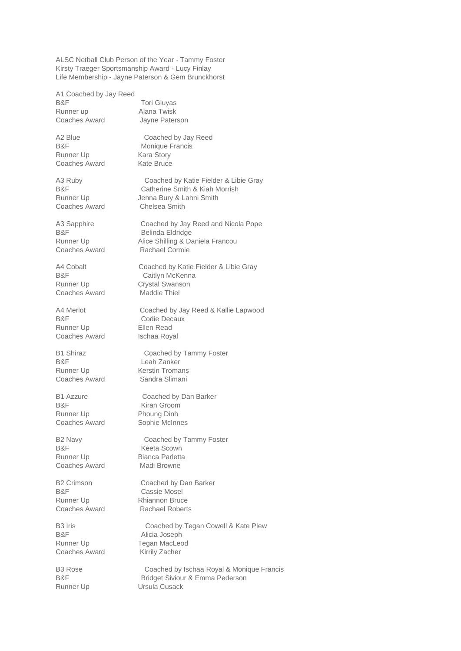ALSC Netball Club Person of the Year - Tammy Foster Kirsty Traeger Sportsmanship Award - Lucy Finlay Life Membership - Jayne Paterson & Gem Brunckhorst

A1 Coached by Jay Reed B&F Tori Gluyas Runner up **Alana Twisk** Coaches Award Jayne Paterson

A2 Blue Coached by Jay Reed Runner Up Kara Story Coaches Award Kate Bruce

Coaches Award Maddie Thiel

B&F Codie Decaux Runner Up **Ellen Read** Coaches Award Ischaa Royal

B&F Leah Zanker Coaches Award Sandra Slimani

B&F Kiran Groom Runner Up Phoung Dinh Coaches Award Sophie McInnes

B&F Keeta Scown Runner Up Bianca Parletta Coaches Award Madi Browne

B&F Cassie Mosel

B&F Alicia Joseph Coaches Award Kirrily Zacher

B&F Monique Francis

A3 Ruby Coached by Katie Fielder & Libie Gray B&F Catherine Smith & Kiah Morrish Runner Up Jenna Bury & Lahni Smith Coaches Award Chelsea Smith

A3 Sapphire Coached by Jay Reed and Nicola Pope B&F Belinda Eldridge Runner Up **Alice Shilling & Daniela Francou** Coaches Award Rachael Cormie

A4 Cobalt Coached by Katie Fielder & Libie Gray B&F Caitlyn McKenna Runner Up **Crystal Swanson** 

A4 Merlot Coached by Jay Reed & Kallie Lapwood

B1 Shiraz Coached by Tammy Foster Runner Up Kerstin Tromans

B1 Azzure Coached by Dan Barker

B2 Navy Coached by Tammy Foster

B2 Crimson Coached by Dan Barker Runner Up Rhiannon Bruce Coaches Award Rachael Roberts

B3 Iris Coached by Tegan Cowell & Kate Plew Runner Up Tegan MacLeod

B3 Rose Coached by Ischaa Royal & Monique Francis B&F Bridget Siviour & Emma Pederson Runner Up **Ursula Cusack**